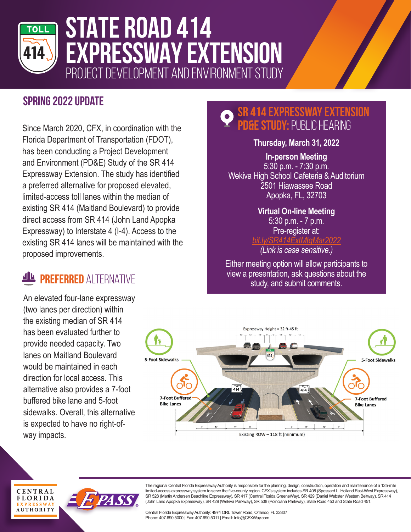

# **STATE ROAD 414 EXPRESSWAY EXTENSION** PROJECT DEVELOPMENT AND ENVIRONMENT STUDY

### **Spring 2022 Update**

Since March 2020, CFX, in coordination with the Florida Department of Transportation (FDOT), has been conducting a Project Development and Environment (PD&E) Study of the SR 414 Expressway Extension. The study has identified a preferred alternative for proposed elevated, limited-access toll lanes within the median of existing SR 414 (Maitland Boulevard) to provide direct access from SR 414 (John Land Apopka Expressway) to Interstate 4 (I-4). Access to the existing SR 414 lanes will be maintained with the proposed improvements.

## **PREFERRED ALTERNATIVE**

An elevated four-lane expressway (two lanes per direction) within the existing median of SR 414 has been evaluated further to provide needed capacity. Two lanes on Maitland Boulevard would be maintained in each direction for local access. This alternative also provides a 7-foot buffered bike lane and 5-foot sidewalks. Overall, this alternative is expected to have no right-ofway impacts.

**CENTRAL FLORIDA EXPRESSW AUTHORITY** 

### **SR 414 Expressway Extension E STUDY: PUBLIC HEARING**

**Thursday, March 31, 2022**

**In-person Meeting** 5:30 p.m. - 7:30 p.m. Wekiva High School Cafeteria & Auditorium 2501 Hiawassee Road Apopka, FL, 32703

#### **Virtual On-line Meeting** 5:30 p.m. - 7 p.m. Pre-register at: *bit.ly/SR414ExtMtgMar2022 (Link is case sensitive.)*

Either meeting option will allow participants to view a presentation, ask questions about the study, and submit comments.



The regional Central Florida Expressway Authority is responsible for the planning, design, construction, operation and maintenance of a 125-mile limited-access expressway system to serve the five-county region. CFX's system includes SR 408 (Spessard L. Holland East-West Expressway), SR 528 (Martin Andersen Beachline Expressway), SR 417 (Central Florida GreeneWay), SR 429 (Daniel Webster Western Beltway), SR 414 (John Land Apopka Expressway), SR 429 (Wekiva Parkway), SR 538 (Poinciana Parkway), State Road 453 and State Road 451.

Central Florida Expressway Authority: 4974 ORL Tower Road, Orlando, FL 32807 Phone: 407.690.5000 | Fax: 407.690.5011 | Email: Info@CFXWay.com